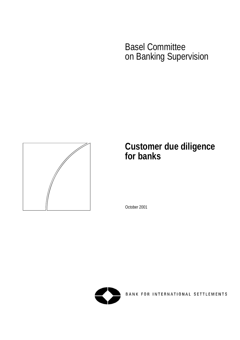# Basel Committee on Banking Supervision



# **Customer due diligence for banks**

October 2001



BANK FOR INTERNATIONAL SETTLEMENTS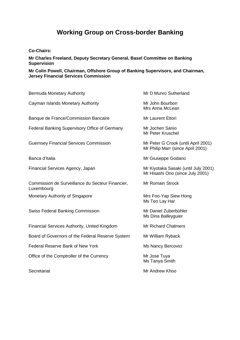# **Working Group on Cross-border Banking**

**Co-Chairs:** 

**Mr Charles Freeland, Deputy Secretary General, Basel Committee on Banking Supervision** 

**Mr Colin Powell, Chairman, Offshore Group of Banking Supervisors, and Chairman, Jersey Financial Services Commission** 

| Bermuda Monetary Authority                                     | Mr D Munro Sutherland                                                    |
|----------------------------------------------------------------|--------------------------------------------------------------------------|
| Cayman Islands Monetary Authority                              | Mr John Bourbon<br>Mrs Anna McLean                                       |
| Banque de France/Commission Bancaire                           | Mr Laurent Ettori                                                        |
| Federal Banking Supervisory Office of Germany                  | Mr Jochen Sanio<br>Mr Peter Kruschel                                     |
| <b>Guernsey Financial Services Commission</b>                  | Mr Peter G Crook (until April 2001)<br>Mr Philip Marr (since April 2001) |
| Banca d'Italia                                                 | Mr Giuseppe Godano                                                       |
| Financial Services Agency, Japan                               | Mr Kiyotaka Sasaki (until July 2001)<br>Mr Hisashi Ono (since July 2001) |
| Commission de Surveillance du Secteur Financier,<br>Luxembourg | Mr Romain Strock                                                         |
| Monetary Authority of Singapore                                | Mrs Foo-Yap Siew Hong<br>Ms Teo Lay Har                                  |
| <b>Swiss Federal Banking Commission</b>                        | Mr Daniel Zuberbühler<br>Ms Dina Balleyguier                             |
| Financial Services Authority, United Kingdom                   | <b>Mr Richard Chalmers</b>                                               |
| Board of Governors of the Federal Reserve System               | Mr William Ryback                                                        |
| <b>Federal Reserve Bank of New York</b>                        | Ms Nancy Bercovici                                                       |
| Office of the Comptroller of the Currency                      | Mr Jose Tuya<br>Ms Tanya Smith                                           |
| Secretariat                                                    | Mr Andrew Khoo                                                           |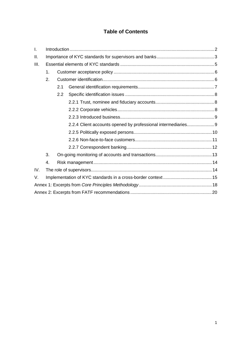# **Table of Contents**

| I.   |                |                  |  |  |  |
|------|----------------|------------------|--|--|--|
| II.  |                |                  |  |  |  |
| III. |                |                  |  |  |  |
|      | 1.             |                  |  |  |  |
|      | 2.             |                  |  |  |  |
|      |                | 2.1              |  |  |  |
|      |                | $2.2\phantom{0}$ |  |  |  |
|      |                |                  |  |  |  |
|      |                |                  |  |  |  |
|      |                |                  |  |  |  |
|      |                |                  |  |  |  |
|      |                |                  |  |  |  |
|      |                |                  |  |  |  |
|      |                |                  |  |  |  |
|      | 3.             |                  |  |  |  |
|      | $\mathbf{4}$ . |                  |  |  |  |
| IV.  |                |                  |  |  |  |
| V.   |                |                  |  |  |  |
|      |                |                  |  |  |  |
|      |                |                  |  |  |  |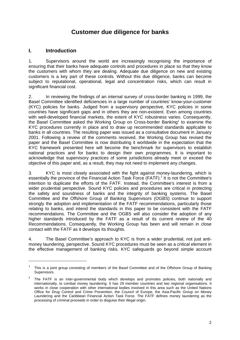# **Customer due diligence for banks**

## **I. Introduction**

 $\overline{a}$ 

1. Supervisors around the world are increasingly recognising the importance of ensuring that their banks have adequate controls and procedures in place so that they know the customers with whom they are dealing. Adequate due diligence on new and existing customers is a key part of these controls. Without this due diligence, banks can become subject to reputational, operational, legal and concentration risks, which can result in significant financial cost.

2. In reviewing the findings of an internal survey of cross-border banking in 1999, the Basel Committee identified deficiencies in a large number of countries' know-your-customer (KYC) policies for banks. Judged from a supervisory perspective, KYC policies in some countries have significant gaps and in others they are non-existent. Even among countries with well-developed financial markets, the extent of KYC robustness varies. Consequently, the Basel Committee asked the Working Group on Cross-border Banking<sup>1</sup> to examine the KYC procedures currently in place and to draw up recommended standards applicable to banks in all countries. The resulting paper was issued as a consultative document in January 2001. Following a review of the comments received, the Working Group has revised the paper and the Basel Committee is now distributing it worldwide in the expectation that the KYC framework presented here will become the benchmark for supervisors to establish national practices and for banks to design their own programmes. It is important to acknowledge that supervisory practices of some jurisdictions already meet or exceed the objective of this paper and, as a result, they may not need to implement any changes.

3. KYC is most closely associated with the fight against money-laundering, which is essentially the province of the Financial Action Task Force (FATF).<sup>2</sup> It is not the Committee's intention to duplicate the efforts of the FATF. Instead, the Committee's interest is from a wider prudential perspective. Sound KYC policies and procedures are critical in protecting the safety and soundness of banks and the integrity of banking systems. The Basel Committee and the Offshore Group of Banking Supervisors (OGBS) continue to support strongly the adoption and implementation of the FATF recommendations, particularly those relating to banks, and intend the standards in this paper to be consistent with the FATF recommendations. The Committee and the OGBS will also consider the adoption of any higher standards introduced by the FATF as a result of its current review of the 40 Recommendations. Consequently, the Working Group has been and will remain in close contact with the FATF as it develops its thoughts.

4. The Basel Committee's approach to KYC is from a wider prudential, not just antimoney laundering, perspective. Sound KYC procedures must be seen as a critical element in the effective management of banking risks. KYC safeguards go beyond simple account

<sup>1</sup> This is a joint group consisting of members of the Basel Committee and of the Offshore Group of Banking Supervisors.

<sup>2</sup> The FATF is an inter-governmental body which develops and promotes policies, both nationally and internationally, to combat money laundering. It has 29 member countries and two regional organisations. It works in close cooperation with other international bodies involved in this area such as the United Nations Office for Drug Control and Crime Prevention, the Council of Europe, the Asia-Pacific Group on Money Laundering and the Caribbean Financial Action Task Force. The FATF defines money laundering as the processing of criminal proceeds in order to disguise their illegal origin.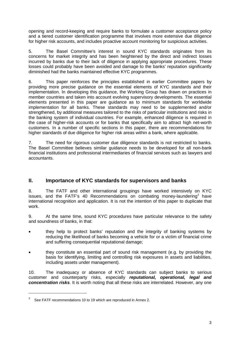opening and record-keeping and require banks to formulate a customer acceptance policy and a tiered customer identification programme that involves more extensive due diligence for higher risk accounts, and includes proactive account monitoring for suspicious activities.

5. The Basel Committee's interest in sound KYC standards originates from its concerns for market integrity and has been heightened by the direct and indirect losses incurred by banks due to their lack of diligence in applying appropriate procedures. These losses could probably have been avoided and damage to the banks' reputation significantly diminished had the banks maintained effective KYC programmes.

6. This paper reinforces the principles established in earlier Committee papers by providing more precise guidance on the essential elements of KYC standards and their implementation. In developing this guidance, the Working Group has drawn on practices in member countries and taken into account evolving supervisory developments. The essential elements presented in this paper are guidance as to minimum standards for worldwide implementation for all banks. These standards may need to be supplemented and/or strengthened, by additional measures tailored to the risks of particular institutions and risks in the banking system of individual countries. For example, enhanced diligence is required in the case of higher-risk accounts or for banks that specifically aim to attract high net-worth customers. In a number of specific sections in this paper, there are recommendations for higher standards of due diligence for higher risk areas within a bank, where applicable.

7. The need for rigorous customer due diligence standards is not restricted to banks. The Basel Committee believes similar guidance needs to be developed for all non-bank financial institutions and professional intermediaries of financial services such as lawyers and accountants.

# **II. Importance of KYC standards for supervisors and banks**

8. The FATF and other international groupings have worked intensively on KYC issues, and the FATF's 40 Recommendations on combating money-laundering<sup>3</sup> have international recognition and application. It is not the intention of this paper to duplicate that work.

9. At the same time, sound KYC procedures have particular relevance to the safety and soundness of banks, in that:

- they help to protect banks' reputation and the integrity of banking systems by reducing the likelihood of banks becoming a vehicle for or a victim of financial crime and suffering consequential reputational damage;
- they constitute an essential part of sound risk management (e.g. by providing the basis for identifying, limiting and controlling risk exposures in assets and liabilities, including assets under management).

10. The inadequacy or absence of KYC standards can subject banks to serious customer and counterparty risks, especially *reputational, operational, legal and concentration risks*. It is worth noting that all these risks are interrelated. However, any one

<sup>3</sup> See FATF recommendations 10 to 19 which are reproduced in Annex 2.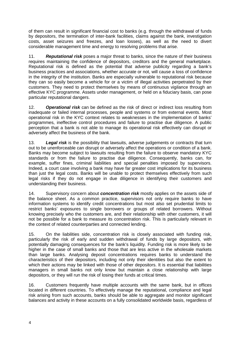of them can result in significant financial cost to banks (e.g. through the withdrawal of funds by depositors, the termination of inter-bank facilities, claims against the bank, investigation costs, asset seizures and freezes, and loan losses), as well as the need to divert considerable management time and energy to resolving problems that arise.

11. *Reputational risk* poses a major threat to banks, since the nature of their business requires maintaining the confidence of depositors, creditors and the general marketplace. Reputational risk is defined as the potential that adverse publicity regarding a bank's business practices and associations, whether accurate or not, will cause a loss of confidence in the integrity of the institution. Banks are especially vulnerable to reputational risk because they can so easily become a vehicle for or a victim of illegal activities perpetrated by their customers. They need to protect themselves by means of continuous vigilance through an effective KYC programme. Assets under management, or held on a fiduciary basis, can pose particular reputational dangers.

12. *Operational risk* can be defined as the risk of direct or indirect loss resulting from inadequate or failed internal processes, people and systems or from external events. Most operational risk in the KYC context relates to weaknesses in the implementation of banks' programmes, ineffective control procedures and failure to practise due diligence. A public perception that a bank is not able to manage its operational risk effectively can disrupt or adversely affect the business of the bank.

13. *Legal risk* is the possibility that lawsuits, adverse judgements or contracts that turn out to be unenforceable can disrupt or adversely affect the operations or condition of a bank. Banks may become subject to lawsuits resulting from the failure to observe mandatory KYC standards or from the failure to practise due diligence. Consequently, banks can, for example, suffer fines, criminal liabilities and special penalties imposed by supervisors. Indeed, a court case involving a bank may have far greater cost implications for its business than just the legal costs. Banks will be unable to protect themselves effectively from such legal risks if they do not engage in due diligence in identifying their customers and understanding their business.

14. Supervisory concern about *concentration risk* mostly applies on the assets side of the balance sheet. As a common practice, supervisors not only require banks to have information systems to identify credit concentrations but most also set prudential limits to restrict banks' exposures to single borrowers or groups of related borrowers. Without knowing precisely who the customers are, and their relationship with other customers, it will not be possible for a bank to measure its concentration risk. This is particularly relevant in the context of related counterparties and connected lending.

15. On the liabilities side, concentration risk is closely associated with funding risk, particularly the risk of early and sudden withdrawal of funds by large depositors, with potentially damaging consequences for the bank's liquidity. Funding risk is more likely to be higher in the case of small banks and those that are less active in the wholesale markets than large banks. Analysing deposit concentrations requires banks to understand the characteristics of their depositors, including not only their identities but also the extent to which their actions may be linked with those of other depositors. It is essential that liabilities managers in small banks not only know but maintain a close relationship with large depositors, or they will run the risk of losing their funds at critical times.

16. Customers frequently have multiple accounts with the same bank, but in offices located in different countries. To effectively manage the reputational, compliance and legal risk arising from such accounts, banks should be able to aggregate and monitor significant balances and activity in these accounts on a fully consolidated worldwide basis, regardless of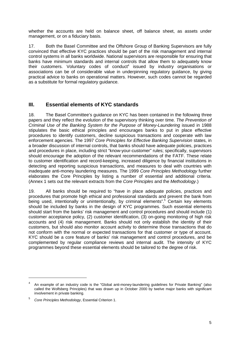whether the accounts are held on balance sheet, off balance sheet, as assets under management, or on a fiduciary basis.

17. Both the Basel Committee and the Offshore Group of Banking Supervisors are fully convinced that effective KYC practices should be part of the risk management and internal control systems in all banks worldwide. National supervisors are responsible for ensuring that banks have minimum standards and internal controls that allow them to adequately know their customers. Voluntary codes of conduct<sup>4</sup> issued by industry organisations or associations can be of considerable value in underpinning regulatory guidance, by giving practical advice to banks on operational matters. However, such codes cannot be regarded as a substitute for formal regulatory guidance.

# **III. Essential elements of KYC standards**

18. The Basel Committee's guidance on KYC has been contained in the following three papers and they reflect the evolution of the supervisory thinking over time. *The Prevention of Criminal Use of the Banking System for the Purpose of Money-Laundering issued in 1988* stipulates the basic ethical principles and encourages banks to put in place effective procedures to identify customers, decline suspicious transactions and cooperate with law enforcement agencies. The 1997 *Core Principles for Effective Banking Supervision* states, in a broader discussion of internal controls, that banks should have adequate policies, practices and procedures in place, including strict "know-your-customer" rules; specifically, supervisors should encourage the adoption of the relevant recommendations of the FATF. These relate to customer identification and record-keeping, increased diligence by financial institutions in detecting and reporting suspicious transactions, and measures to deal with countries with inadequate anti-money laundering measures. The 1999 *Core Principles Methodology* further elaborates the Core Principles by listing a number of essential and additional criteria. (Annex 1 sets out the relevant extracts from the *Core Principles* and the *Methodology*.)

19. All banks should be required to "have in place adequate policies, practices and procedures that promote high ethical and professional standards and prevent the bank from being used, intentionally or unintentionally, by criminal elements".<sup>5</sup> Certain key elements should be included by banks in the design of KYC programmes. Such essential elements should start from the banks' risk management and control procedures and should include (1) customer acceptance policy, (2) customer identification, (3) on-going monitoring of high risk accounts and (4) risk management. Banks should not only establish the identity of their customers, but should also monitor account activity to determine those transactions that do not conform with the normal or expected transactions for that customer or type of account. KYC should be a core feature of banks' risk management and control procedures, and be complemented by regular compliance reviews and internal audit. The intensity of KYC programmes beyond these essential elements should be tailored to the degree of risk.

<sup>4</sup> An example of an industry code is the "Global anti-money-laundering guidelines for Private Banking" (also called the Wolfsberg Principles) that was drawn up in October 2000 by twelve major banks with significant involvement in private banking.

<sup>5</sup> *Core Principles Methodology*, Essential Criterion 1.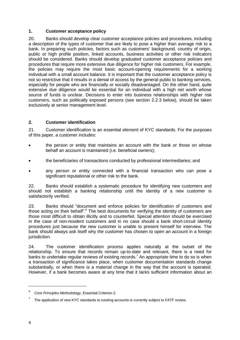#### **1. Customer acceptance policy**

20. Banks should develop clear customer acceptance policies and procedures, including a description of the types of customer that are likely to pose a higher than average risk to a bank. In preparing such policies, factors such as customers' background, country of origin, public or high profile position, linked accounts, business activities or other risk indicators should be considered. Banks should develop graduated customer acceptance policies and procedures that require more extensive due diligence for higher risk customers. For example, the policies may require the most basic account-opening requirements for a working individual with a small account balance. It is important that the customer acceptance policy is not so restrictive that it results in a denial of access by the general public to banking services, especially for people who are financially or socially disadvantaged. On the other hand, quite extensive due diligence would be essential for an individual with a high net worth whose source of funds is unclear. Decisions to enter into business relationships with higher risk customers, such as politically exposed persons (see section 2.2.3 below), should be taken exclusively at senior management level.

#### **2. Customer identification**

21. Customer identification is an essential element of KYC standards. For the purposes of this paper, a customer includes:

- the person or entity that maintains an account with the bank or those on whose behalf an account is maintained (i.e. beneficial owners);
- the beneficiaries of transactions conducted by professional intermediaries; and
- $\bullet$  any person or entity connected with a financial transaction who can pose a significant reputational or other risk to the bank.

22. Banks should establish a systematic procedure for identifying new customers and should not establish a banking relationship until the identity of a new customer is satisfactorily verified.

23. Banks should "document and enforce policies for identification of customers and those acting on their behalf".<sup>6</sup> The best documents for verifying the identity of customers are those most difficult to obtain illicitly and to counterfeit. Special attention should be exercised in the case of non-resident customers and in no case should a bank short-circuit identity procedures just because the new customer is unable to present himself for interview. The bank should always ask itself why the customer has chosen to open an account in a foreign jurisdiction.

24. The customer identification process applies naturally at the outset of the relationship. To ensure that records remain up-to-date and relevant, there is a need for banks to undertake regular reviews of existing records.<sup>7</sup> An appropriate time to do so is when a transaction of significance takes place, when customer documentation standards change substantially, or when there is a material change in the way that the account is operated. However, if a bank becomes aware at any time that it lacks sufficient information about an

 $\overline{a}$ 

<sup>6</sup> *Core Principles Methodology*, Essential Criterion 2.

<sup>7</sup> The application of new KYC standards to existing accounts is currently subject to FATF review.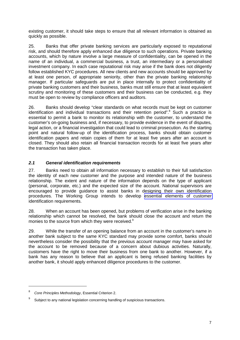existing customer, it should take steps to ensure that all relevant information is obtained as quickly as possible.

25. Banks that offer private banking services are particularly exposed to reputational risk, and should therefore apply enhanced due diligence to such operations. Private banking accounts, which by nature involve a large measure of confidentiality, can be opened in the name of an individual, a commercial business, a trust, an intermediary or a personalised investment company. In each case reputational risk may arise if the bank does not diligently follow established KYC procedures. All new clients and new accounts should be approved by at least one person, of appropriate seniority, other than the private banking relationship manager. If particular safeguards are put in place internally to protect confidentiality of private banking customers and their business, banks must still ensure that at least equivalent scrutiny and monitoring of these customers and their business can be conducted, e.g. they must be open to review by compliance officers and auditors.

26. Banks should develop "clear standards on what records must be kept on customer identification and individual transactions and their retention period".<sup>8</sup> Such a practice is essential to permit a bank to monitor its relationship with the customer, to understand the customer's on-going business and, if necessary, to provide evidence in the event of disputes, legal action, or a financial investigation that could lead to criminal prosecution. As the starting point and natural follow-up of the identification process, banks should obtain customer identification papers and retain copies of them for at least five years after an account is closed. They should also retain all financial transaction records for at least five years after the transaction has taken place.

#### *2.1 General identification requirements*

27. Banks need to obtain all information necessary to establish to their full satisfaction the identity of each new customer and the purpose and intended nature of the business relationship. The extent and nature of the information depends on the type of applicant (personal, corporate, etc.) and the expected size of the account. National supervisors are encouraged to provide guidance to assist banks in designing their own identification procedures. The Working Group intends to develop [essential elements of customer](www.bis.org/publ/bcbs85annex.htm)  identification requirements.

28. When an account has been opened, but problems of verification arise in the banking relationship which cannot be resolved, the bank should close the account and return the monies to the source from which they were received. $9$ 

29. While the transfer of an opening balance from an account in the customer's name in another bank subject to the same KYC standard may provide some comfort, banks should nevertheless consider the possibility that the previous account manager may have asked for the account to be removed because of a concern about dubious activities. Naturally, customers have the right to move their business from one bank to another. However, if a bank has any reason to believe that an applicant is being refused banking facilities by another bank, it should apply enhanced diligence procedures to the customer.

 $\overline{a}$ 

<sup>8</sup> *Core Principles Methodology*, Essential Criterion 2.

<sup>9</sup> Subject to any national legislation concerning handling of suspicious transactions.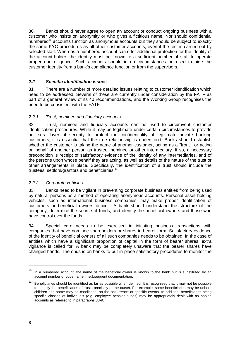30. Banks should never agree to open an account or conduct ongoing business with a customer who insists on anonymity or who gives a fictitious name. Nor should confidential numbered<sup>10</sup> accounts function as anonymous accounts but they should be subject to exactly the same KYC procedures as all other customer accounts, even if the test is carried out by selected staff. Whereas a numbered account can offer additional protection for the identity of the account-holder, the identity must be known to a sufficient number of staff to operate proper due diligence. Such accounts should in no circumstances be used to hide the customer identity from a bank's compliance function or from the supervisors.

### *2.2 Specific identification issues*

31. There are a number of more detailed issues relating to customer identification which need to be addressed. Several of these are currently under consideration by the FATF as part of a general review of its 40 recommendations, and the Working Group recognises the need to be consistent with the FATF.

#### *2.2.1 Trust, nominee and fiduciary accounts*

32. Trust, nominee and fiduciary accounts can be used to circumvent customer identification procedures. While it may be legitimate under certain circumstances to provide an extra layer of security to protect the confidentiality of legitimate private banking customers, it is essential that the true relationship is understood. Banks should establish whether the customer is taking the name of another customer, acting as a "front", or acting on behalf of another person as trustee, nominee or other intermediary. If so, a necessary precondition is receipt of satisfactory evidence of the identity of any intermediaries, and of the persons upon whose behalf they are acting, as well as details of the nature of the trust or other arrangements in place. Specifically, the identification of a trust should include the trustees, settlors/grantors and beneficiaries.<sup>11</sup>

#### *2.2.2 Corporate vehicles*

33. Banks need to be vigilant in preventing corporate business entities from being used by natural persons as a method of operating anonymous accounts. Personal asset holding vehicles, such as international business companies, may make proper identification of customers or beneficial owners difficult. A bank should understand the structure of the company, determine the source of funds, and identify the beneficial owners and those who have control over the funds.

34. Special care needs to be exercised in initiating business transactions with companies that have nominee shareholders or shares in bearer form. Satisfactory evidence of the identity of beneficial owners of all such companies needs to be obtained. In the case of entities which have a significant proportion of capital in the form of bearer shares, extra vigilance is called for. A bank may be completely unaware that the bearer shares have changed hands. The onus is on banks to put in place satisfactory procedures to monitor the

 $10$  In a numbered account, the name of the beneficial owner is known to the bank but is substituted by an account number or code name in subsequent documentation.

 $11$  Beneficiaries should be identified as far as possible when defined. It is recognised that it may not be possible to identify the beneficiaries of trusts precisely at the outset. For example, some beneficiaries may be unborn children and some may be conditional on the occurrence of specific events. In addition, beneficiaries being specific classes of individuals (e.g. employee pension funds) may be appropriately dealt with as pooled accounts as referred to in paragraphs 38-9.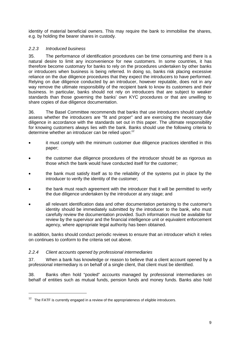identity of material beneficial owners. This may require the bank to immobilise the shares, e.g. by holding the bearer shares in custody.

#### *2.2.3 Introduced business*

35. The performance of identification procedures can be time consuming and there is a natural desire to limit any inconvenience for new customers. In some countries, it has therefore become customary for banks to rely on the procedures undertaken by other banks or introducers when business is being referred. In doing so, banks risk placing excessive reliance on the due diligence procedures that they expect the introducers to have performed. Relying on due diligence conducted by an introducer, however reputable, does not in any way remove the ultimate responsibility of the recipient bank to know its customers and their business. In particular, banks should not rely on introducers that are subject to weaker standards than those governing the banks' own KYC procedures or that are unwilling to share copies of due diligence documentation.

36. The Basel Committee recommends that banks that use introducers should carefully assess whether the introducers are "fit and proper" and are exercising the necessary due diligence in accordance with the standards set out in this paper. The ultimate responsibility for knowing customers always lies with the bank. Banks should use the following criteria to determine whether an introducer can be relied upon:<sup>12</sup>

- $\bullet$  it must comply with the minimum customer due diligence practices identified in this paper;
- the customer due diligence procedures of the introducer should be as rigorous as those which the bank would have conducted itself for the customer;
- the bank must satisfy itself as to the reliability of the systems put in place by the introducer to verify the identity of the customer;
- the bank must reach agreement with the introducer that it will be permitted to verify the due diligence undertaken by the introducer at any stage; and
- $\bullet$  all relevant identification data and other documentation pertaining to the customer's identity should be immediately submitted by the introducer to the bank, who must carefully review the documentation provided. Such information must be available for review by the supervisor and the financial intelligence unit or equivalent enforcement agency, where appropriate legal authority has been obtained.

In addition, banks should conduct periodic reviews to ensure that an introducer which it relies on continues to conform to the criteria set out above.

#### *2.2.4 Client accounts opened by professional intermediaries*

37. When a bank has knowledge or reason to believe that a client account opened by a professional intermediary is on behalf of a single client, that client must be identified.

38. Banks often hold "pooled" accounts managed by professional intermediaries on behalf of entities such as mutual funds, pension funds and money funds. Banks also hold

 $12$  The FATF is currently engaged in a review of the appropriateness of eligible introducers.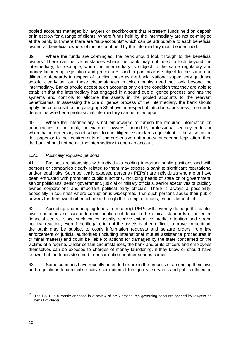pooled accounts managed by lawyers or stockbrokers that represent funds held on deposit or in escrow for a range of clients. Where funds held by the intermediary are not co-mingled at the bank, but where there are "sub-accounts" which can be attributable to each beneficial owner, all beneficial owners of the account held by the intermediary must be identified.

39. Where the funds are co-mingled, the bank should look through to the beneficial owners. There can be circumstances where the bank may not need to look beyond the intermediary, for example, when the intermediary is subject to the same regulatory and money laundering legislation and procedures, and in particular is subject to the same due diligence standards in respect of its client base as the bank. National supervisory guidance should clearly set out those circumstances in which banks need not look beyond the intermediary. Banks should accept such accounts only on the condition that they are able to establish that the intermediary has engaged in a sound due diligence process and has the systems and controls to allocate the assets in the pooled accounts to the relevant beneficiaries. In assessing the due diligence process of the intermediary, the bank should apply the criteria set out in paragraph 36 above, in respect of introduced business, in order to determine whether a professional intermediary can be relied upon.

40. Where the intermediary is not empowered to furnish the required information on beneficiaries to the bank, for example, lawyers<sup>13</sup> bound by professional secrecy codes or when that intermediary is not subject to due diligence standards equivalent to those set out in this paper or to the requirements of comprehensive anti-money laundering legislation, then the bank should not permit the intermediary to open an account.

### *2.2.5 Politically exposed persons*

41. Business relationships with individuals holding important public positions and with persons or companies clearly related to them may expose a bank to significant reputational and/or legal risks. Such politically exposed persons ("PEPs") are individuals who are or have been entrusted with prominent public functions, including heads of state or of government, senior politicians, senior government, judicial or military officials, senior executives of publicly owned corporations and important political party officials. There is always a possibility, especially in countries where corruption is widespread, that such persons abuse their public powers for their own illicit enrichment through the receipt of bribes, embezzlement, etc.

42. Accepting and managing funds from corrupt PEPs will severely damage the bank's own reputation and can undermine public confidence in the ethical standards of an entire financial centre, since such cases usually receive extensive media attention and strong political reaction, even if the illegal origin of the assets is often difficult to prove. In addition, the bank may be subject to costly information requests and seizure orders from law enforcement or judicial authorities (including international mutual assistance procedures in criminal matters) and could be liable to actions for damages by the state concerned or the victims of a regime. Under certain circumstances, the bank and/or its officers and employees themselves can be exposed to charges of money laundering, if they know or should have known that the funds stemmed from corruption or other serious crimes.

43. Some countries have recently amended or are in the process of amending their laws and regulations to criminalise active corruption of foreign civil servants and public officers in

<sup>&</sup>lt;sup>13</sup> The FATF is currently engaged in a review of KYC procedures governing accounts opened by lawyers on behalf of clients.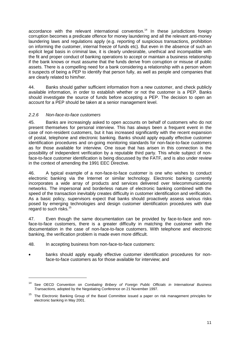accordance with the relevant international convention.<sup>14</sup> In these jurisdictions foreign corruption becomes a predicate offence for money laundering and all the relevant anti-money laundering laws and regulations apply (e.g. reporting of suspicious transactions, prohibition on informing the customer, internal freeze of funds etc). But even in the absence of such an explicit legal basis in criminal law, it is clearly undesirable, unethical and incompatible with the fit and proper conduct of banking operations to accept or maintain a business relationship if the bank knows or must assume that the funds derive from corruption or misuse of public assets. There is a compelling need for a bank considering a relationship with a person whom it suspects of being a PEP to identify that person fully, as well as people and companies that are clearly related to him/her.

44. Banks should gather sufficient information from a new customer, and check publicly available information, in order to establish whether or not the customer is a PEP. Banks should investigate the source of funds before accepting a PEP. The decision to open an account for a PEP should be taken at a senior management level.

#### *2.2.6 Non-face-to-face customers*

45. Banks are increasingly asked to open accounts on behalf of customers who do not present themselves for personal interview. This has always been a frequent event in the case of non-resident customers, but it has increased significantly with the recent expansion of postal, telephone and electronic banking. Banks should apply equally effective customer identification procedures and on-going monitoring standards for non-face-to-face customers as for those available for interview. One issue that has arisen in this connection is the possibility of independent verification by a reputable third party. This whole subject of nonface-to-face customer identification is being discussed by the FATF, and is also under review in the context of amending the 1991 EEC Directive.

46. A typical example of a non-face-to-face customer is one who wishes to conduct electronic banking via the Internet or similar technology. Electronic banking currently incorporates a wide array of products and services delivered over telecommunications networks. The impersonal and borderless nature of electronic banking combined with the speed of the transaction inevitably creates difficulty in customer identification and verification. As a basic policy, supervisors expect that banks should proactively assess various risks posed by emerging technologies and design customer identification procedures with due regard to such risks.15

47. Even though the same documentation can be provided by face-to-face and nonface-to-face customers, there is a greater difficulty in matching the customer with the documentation in the case of non-face-to-face customers. With telephone and electronic banking, the verification problem is made even more difficult.

- 48. In accepting business from non-face-to-face customers:
- banks should apply equally effective customer identification procedures for nonface-to-face customers as for those available for interview; and

<sup>14</sup> See OECD Convention on *Combating Bribery of Foreign Public Officials in International Business Transactions*, adopted by the Negotiating Conference on 21 November 1997.

<sup>&</sup>lt;sup>15</sup> The Electronic Banking Group of the Basel Committee issued a paper on risk management principles for electronic banking in May 2001.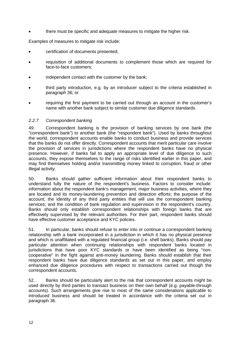there must be specific and adequate measures to mitigate the higher risk.

Examples of measures to mitigate risk include:

- certification of documents presented;
- requisition of additional documents to complement those which are required for face-to-face customers;
- independent contact with the customer by the bank;
- third party introduction, e.g. by an introducer subject to the criteria established in paragraph 36; or
- requiring the first payment to be carried out through an account in the customer's name with another bank subject to similar customer due diligence standards.

#### *2.2.7 Correspondent banking*

49. Correspondent banking is the provision of banking services by one bank (the "correspondent bank") to another bank (the "respondent bank"). Used by banks throughout the world, correspondent accounts enable banks to conduct business and provide services that the banks do not offer directly. Correspondent accounts that merit particular care involve the provision of services in jurisdictions where the respondent banks have no physical presence. However, if banks fail to apply an appropriate level of due diligence to such accounts, they expose themselves to the range of risks identified earlier in this paper, and may find themselves holding and/or transmitting money linked to corruption, fraud or other illegal activity.

50. Banks should gather sufficient information about their respondent banks to understand fully the nature of the respondent's business. Factors to consider include: information about the respondent bank's management, major business activities, where they are located and its money-laundering prevention and detection efforts; the purpose of the account; the identity of any third party entities that will use the correspondent banking services; and the condition of bank regulation and supervision in the respondent's country. Banks should only establish correspondent relationships with foreign banks that are effectively supervised by the relevant authorities. For their part, respondent banks should have effective customer acceptance and KYC policies.

51. In particular, banks should refuse to enter into or continue a correspondent banking relationship with a bank incorporated in a jurisdiction in which it has no physical presence and which is unaffiliated with a regulated financial group (i.e. shell banks). Banks should pay particular attention when continuing relationships with respondent banks located in jurisdictions that have poor KYC standards or have been identified as being "noncooperative" in the fight against anti-money laundering. Banks should establish that their respondent banks have due diligence standards as set out in this paper, and employ enhanced due diligence procedures with respect to transactions carried out though the correspondent accounts.

52. Banks should be particularly alert to the risk that correspondent accounts might be used directly by third parties to transact business on their own behalf (e.g. payable-through accounts). Such arrangements give rise to most of the same considerations applicable to introduced business and should be treated in accordance with the criteria set out in paragraph 36.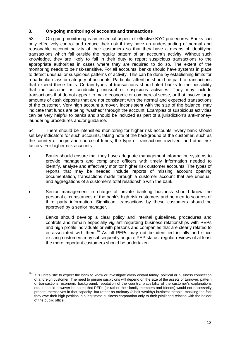#### **3. On-going monitoring of accounts and transactions**

53. On-going monitoring is an essential aspect of effective KYC procedures. Banks can only effectively control and reduce their risk if they have an understanding of normal and reasonable account activity of their customers so that they have a means of identifying transactions which fall outside the regular pattern of an account's activity. Without such knowledge, they are likely to fail in their duty to report suspicious transactions to the appropriate authorities in cases where they are required to do so. The extent of the monitoring needs to be risk-sensitive. For all accounts, banks should have systems in place to detect unusual or suspicious patterns of activity. This can be done by establishing limits for a particular class or category of accounts. Particular attention should be paid to transactions that exceed these limits. Certain types of transactions should alert banks to the possibility that the customer is conducting unusual or suspicious activities. They may include transactions that do not appear to make economic or commercial sense, or that involve large amounts of cash deposits that are not consistent with the normal and expected transactions of the customer. Very high account turnover, inconsistent with the size of the balance, may indicate that funds are being "washed" through the account. Examples of suspicious activities can be very helpful to banks and should be included as part of a jurisdiction's anti-moneylaundering procedures and/or guidance.

54. There should be intensified monitoring for higher risk accounts. Every bank should set key indicators for such accounts, taking note of the background of the customer, such as the country of origin and source of funds, the type of transactions involved, and other risk factors. For higher risk accounts:

- - Banks should ensure that they have adequate management information systems to provide managers and compliance officers with timely information needed to identify, analyse and effectively monitor higher risk customer accounts. The types of reports that may be needed include reports of missing account opening documentation, transactions made through a customer account that are unusual, and aggregations of a customer's total relationship with the bank.
- - Senior management in charge of private banking business should know the personal circumstances of the bank's high risk customers and be alert to sources of third party information. Significant transactions by these customers should be approved by a senior manager.
- - Banks should develop a clear policy and internal guidelines, procedures and controls and remain especially vigilant regarding business relationships with PEPs and high profile individuals or with persons and companies that are clearly related to or associated with them.<sup>16</sup> As all PEPs may not be identified initially and since existing customers may subsequently acquire PEP status, regular reviews of at least the more important customers should be undertaken.

 $\overline{a}$ 

 $16$  It is unrealistic to expect the bank to know or investigate every distant family, political or business connection of a foreign customer. The need to pursue suspicions will depend on the size of the assets or turnover, pattern of transactions, economic background, reputation of the country, plausibility of the customer's explanations etc. It should however be noted that PEPs (or rather their family members and friends) would not necessarily present themselves in that capacity, but rather as ordinary (albeit wealthy) business people, masking the fact they owe their high position in a legitimate business corporation only to their privileged relation with the holder of the public office.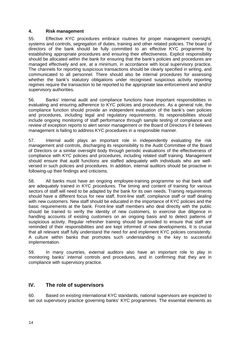#### **4. Risk management**

55. Effective KYC procedures embrace routines for proper management oversight, systems and controls, segregation of duties, training and other related policies. The board of directors of the bank should be fully committed to an effective KYC programme by establishing appropriate procedures and ensuring their effectiveness. Explicit responsibility should be allocated within the bank for ensuring that the bank's policies and procedures are managed effectively and are, at a minimum, in accordance with local supervisory practice. The channels for reporting suspicious transactions should be clearly specified in writing, and communicated to all personnel. There should also be internal procedures for assessing whether the bank's statutory obligations under recognised suspicious activity reporting regimes require the transaction to be reported to the appropriate law enforcement and and/or supervisory authorities.

56. Banks' internal audit and compliance functions have important responsibilities in evaluating and ensuring adherence to KYC policies and procedures. As a general rule, the compliance function should provide an independent evaluation of the bank's own policies and procedures, including legal and regulatory requirements. Its responsibilities should include ongoing monitoring of staff performance through sample testing of compliance and review of exception reports to alert senior management or the Board of Directors if it believes management is failing to address KYC procedures in a responsible manner.

57. Internal audit plays an important role in independently evaluating the risk management and controls, discharging its responsibility to the Audit Committee of the Board of Directors or a similar oversight body through periodic evaluations of the effectiveness of compliance with KYC policies and procedures, including related staff training. Management should ensure that audit functions are staffed adequately with individuals who are wellversed in such policies and procedures. In addition, internal auditors should be proactive in following-up their findings and criticisms.

58. All banks must have an ongoing employee-training programme so that bank staff are adequately trained in KYC procedures. The timing and content of training for various sectors of staff will need to be adapted by the bank for its own needs. Training requirements should have a different focus for new staff, front-line staff, compliance staff or staff dealing with new customers. New staff should be educated in the importance of KYC policies and the basic requirements at the bank. Front-line staff members who deal directly with the public should be trained to verify the identity of new customers, to exercise due diligence in handling accounts of existing customers on an ongoing basis and to detect patterns of suspicious activity. Regular refresher training should be provided to ensure that staff are reminded of their responsibilities and are kept informed of new developments. It is crucial that all relevant staff fully understand the need for and implement KYC policies consistently. A culture within banks that promotes such understanding is the key to successful implementation.

59. In many countries, external auditors also have an important role to play in monitoring banks' internal controls and procedures, and in confirming that they are in compliance with supervisory practice.

## **IV. The role of supervisors**

60. Based on existing international KYC standards, national supervisors are expected to set out supervisory practice governing banks' KYC programmes. The essential elements as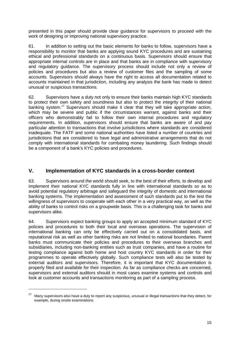presented in this paper should provide clear guidance for supervisors to proceed with the work of designing or improving national supervisory practice.

61. In addition to setting out the basic elements for banks to follow, supervisors have a responsibility to monitor that banks are applying sound KYC procedures and are sustaining ethical and professional standards on a continuous basis. Supervisors should ensure that appropriate internal controls are in place and that banks are in compliance with supervisory and regulatory guidance. The supervisory process should include not only a review of policies and procedures but also a review of customer files and the sampling of some accounts. Supervisors should always have the right to access all documentation related to accounts maintained in that jurisdiction, including any analysis the bank has made to detect unusual or suspicious transactions.

62. Supervisors have a duty not only to ensure their banks maintain high KYC standards to protect their own safety and soundness but also to protect the integrity of their national banking system.<sup>17</sup> Supervisors should make it clear that they will take appropriate action, which may be severe and public if the circumstances warrant, against banks and their officers who demonstrably fail to follow their own internal procedures and regulatory requirements. In addition, supervisors should ensure that banks are aware of and pay particular attention to transactions that involve jurisdictions where standards are considered inadequate. The FATF and some national authorities have listed a number of countries and jurisdictions that are considered to have legal and administrative arrangements that do not comply with international standards for combating money laundering. Such findings should be a component of a bank's KYC policies and procedures.

## **V. Implementation of KYC standards in a cross-border context**

63. Supervisors around the world should seek, to the best of their efforts, to develop and implement their national KYC standards fully in line with international standards so as to avoid potential regulatory arbitrage and safeguard the integrity of domestic and international banking systems. The implementation and assessment of such standards put to the test the willingness of supervisors to cooperate with each other in a very practical way, as well as the ability of banks to control risks on a groupwide basis. This is a challenging task for banks and supervisors alike.

64. Supervisors expect banking groups to apply an accepted minimum standard of KYC policies and procedures to both their local and overseas operations. The supervision of international banking can only be effectively carried out on a consolidated basis, and reputational risk as well as other banking risks are not limited to national boundaries. Parent banks must communicate their policies and procedures to their overseas branches and subsidiaries, including non-banking entities such as trust companies, and have a routine for testing compliance against both home and host country KYC standards in order for their programmes to operate effectively globally. Such compliance tests will also be tested by external auditors and supervisors. Therefore, it is important that KYC documentation is properly filed and available for their inspection. As far as compliance checks are concerned, supervisors and external auditors should in most cases examine systems and controls and look at customer accounts and transactions monitoring as part of a sampling process.

<sup>17</sup> Many supervisors also have a duty to report any suspicious, unusual or illegal transactions that they detect, for example, during onsite examinations.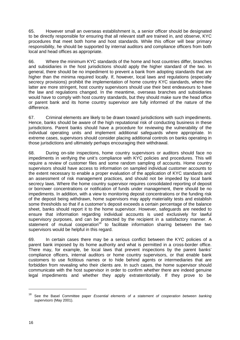65. However small an overseas establishment is, a senior officer should be designated to be directly responsible for ensuring that all relevant staff are trained in, and observe, KYC procedures that meet both home and host standards. While this officer will bear primary responsibility, he should be supported by internal auditors and compliance officers from both local and head offices as appropriate.

66. Where the minimum KYC standards of the home and host countries differ, branches and subsidiaries in the host jurisdictions should apply the higher standard of the two. In general, there should be no impediment to prevent a bank from adopting standards that are higher than the minima required locally. If, however, local laws and regulations (especially secrecy provisions) prohibit the implementation of home country KYC standards, where the latter are more stringent, host country supervisors should use their best endeavours to have the law and regulations changed. In the meantime, overseas branches and subsidiaries would have to comply with host country standards, but they should make sure the head office or parent bank and its home country supervisor are fully informed of the nature of the difference.

67. Criminal elements are likely to be drawn toward jurisdictions with such impediments. Hence, banks should be aware of the high reputational risk of conducting business in these jurisdictions. Parent banks should have a procedure for reviewing the vulnerability of the individual operating units and implement additional safeguards where appropriate. In extreme cases, supervisors should consider placing additional controls on banks operating in those jurisdictions and ultimately perhaps encouraging their withdrawal.

68. During on-site inspections, home country supervisors or auditors should face no impediments in verifying the unit's compliance with KYC policies and procedures. This will require a review of customer files and some random sampling of accounts. Home country supervisors should have access to information on sampled individual customer accounts to the extent necessary to enable a proper evaluation of the application of KYC standards and an assessment of risk management practices, and should not be impeded by local bank secrecy laws. Where the home country supervisor requires consolidated reporting of deposit or borrower concentrations or notification of funds under management, there should be no impediments. In addition, with a view to monitoring deposit concentrations or the funding risk of the deposit being withdrawn, home supervisors may apply materiality tests and establish some thresholds so that if a customer's deposit exceeds a certain percentage of the balance sheet, banks should report it to the home supervisor. However, safeguards are needed to ensure that information regarding individual accounts is used exclusively for lawful supervisory purposes, and can be protected by the recipient in a satisfactory manner. A supervisory purposed, and carried precedently the respective to facilitate information sharing between the two supervisors would be helpful in this regard.

69. In certain cases there may be a serious conflict between the KYC policies of a parent bank imposed by its home authority and what is permitted in a cross-border office. There may, for example, be local laws that prevent inspections by the parent banks' compliance officers, internal auditors or home country supervisors, or that enable bank customers to use fictitious names or to hide behind agents or intermediaries that are forbidden from revealing who their clients are. In such cases, the home supervisor should communicate with the host supervisor in order to confirm whether there are indeed genuine legal impediments and whether they apply extraterritorially. If they prove to be

<sup>18</sup> See the Basel Committee paper *Essential elements of a statement of cooperation between banking supervisors* (May 2001).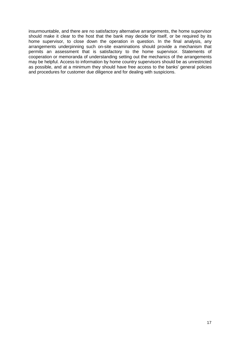insurmountable, and there are no satisfactory alternative arrangements, the home supervisor should make it clear to the host that the bank may decide for itself, or be required by its home supervisor, to close down the operation in question. In the final analysis, any arrangements underpinning such on-site examinations should provide a mechanism that permits an assessment that is satisfactory to the home supervisor. Statements of cooperation or memoranda of understanding setting out the mechanics of the arrangements may be helpful. Access to information by home country supervisors should be as unrestricted as possible, and at a minimum they should have free access to the banks' general policies and procedures for customer due diligence and for dealing with suspicions.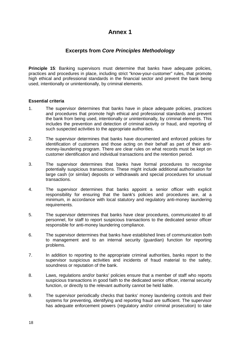# **Annex 1**

# **Excerpts from** *Core Principles Methodology*

**Principle 15:** Banking supervisors must determine that banks have adequate policies, practices and procedures in place, including strict "know-your-customer" rules, that promote high ethical and professional standards in the financial sector and prevent the bank being used, intentionally or unintentionally, by criminal elements.

#### **Essential criteria**

- 1. The supervisor determines that banks have in place adequate policies, practices and procedures that promote high ethical and professional standards and prevent the bank from being used, intentionally or unintentionally, by criminal elements. This includes the prevention and detection of criminal activity or fraud, and reporting of such suspected activities to the appropriate authorities.
- 2. The supervisor determines that banks have documented and enforced policies for identification of customers and those acting on their behalf as part of their antimoney-laundering program. There are clear rules on what records must be kept on customer identification and individual transactions and the retention period.
- 3. The supervisor determines that banks have formal procedures to recognise potentially suspicious transactions. These might include additional authorisation for large cash (or similar) deposits or withdrawals and special procedures for unusual transactions.
- 4. The supervisor determines that banks appoint a senior officer with explicit responsibility for ensuring that the bank's policies and procedures are, at a minimum, in accordance with local statutory and regulatory anti-money laundering requirements.
- 5. The supervisor determines that banks have clear procedures, communicated to all personnel, for staff to report suspicious transactions to the dedicated senior officer responsible for anti-money laundering compliance.
- 6. The supervisor determines that banks have established lines of communication both to management and to an internal security (guardian) function for reporting problems.
- 7. In addition to reporting to the appropriate criminal authorities, banks report to the supervisor suspicious activities and incidents of fraud material to the safety, soundness or reputation of the bank.
- 8. Laws, regulations and/or banks' policies ensure that a member of staff who reports suspicious transactions in good faith to the dedicated senior officer, internal security function, or directly to the relevant authority cannot be held liable.
- 9. The supervisor periodically checks that banks' money laundering controls and their systems for preventing, identifying and reporting fraud are sufficient. The supervisor has adequate enforcement powers (regulatory and/or criminal prosecution) to take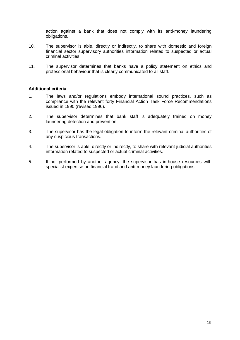action against a bank that does not comply with its anti-money laundering obligations.

- 10. The supervisor is able, directly or indirectly, to share with domestic and foreign financial sector supervisory authorities information related to suspected or actual criminal activities.
- 11. The supervisor determines that banks have a policy statement on ethics and professional behaviour that is clearly communicated to all staff.

#### **Additional criteria**

- 1. The laws and/or regulations embody international sound practices, such as compliance with the relevant forty Financial Action Task Force Recommendations issued in 1990 (revised 1996).
- 2. The supervisor determines that bank staff is adequately trained on money laundering detection and prevention.
- 3. The supervisor has the legal obligation to inform the relevant criminal authorities of any suspicious transactions.
- 4. The supervisor is able, directly or indirectly, to share with relevant judicial authorities information related to suspected or actual criminal activities.
- 5. If not performed by another agency, the supervisor has in-house resources with specialist expertise on financial fraud and anti-money laundering obligations.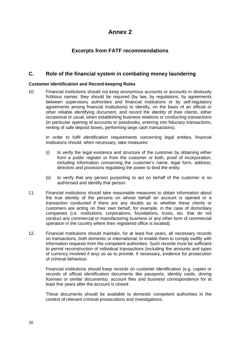# **Annex 2**

# **Excerpts from FATF recommendations**

## **C. Role of the financial system in combating money laundering**

#### **Customer Identification and Record-keeping Rules**

10. Financial institutions should not keep anonymous accounts or accounts in obviously fictitious names: they should be required (by law, by regulations, by agreements between supervisory authorities and financial institutions or by self-regulatory agreements among financial institutions) to identify, on the basis of an official or other reliable identifying document, and record the identity of their clients, either occasional or usual, when establishing business relations or conducting transactions (in particular opening of accounts or passbooks, entering into fiduciary transactions, renting of safe deposit boxes, performing large cash transactions).

 In order to fulfil identification requirements concerning legal entities, financial institutions should, when necessary, take measures:

- (i) to verify the legal existence and structure of the customer by obtaining either from a public register or from the customer or both, proof of incorporation, including information concerning the customer's name, legal form, address, directors and provisions regulating the power to bind the entity.
- (ii) to verify that any person purporting to act on behalf of the customer is so authorised and identify that person.
- 11. Financial institutions should take reasonable measures to obtain information about the true identity of the persons on whose behalf an account is opened or a transaction conducted if there are any doubts as to whether these clients or customers are acting on their own behalf, for example, in the case of domiciliary companies (i.e. institutions, corporations, foundations, trusts, etc. that do not conduct any commercial or manufacturing business or any other form of commercial operation in the country where their registered office is located).
- 12. Financial institutions should maintain, for at least five years, all necessary records on transactions, both domestic or international, to enable them to comply swiftly with information requests from the competent authorities. Such records must be sufficient to permit reconstruction of individual transactions (including the amounts and types of currency involved if any) so as to provide, if necessary, evidence for prosecution of criminal behaviour.

 Financial institutions should keep records on customer identification (e.g. copies or records of official identification documents like passports, identity cards, driving licenses or similar documents), account files and business correspondence for at least five years after the account is closed.

 These documents should be available to domestic competent authorities in the context of relevant criminal prosecutions and investigations.